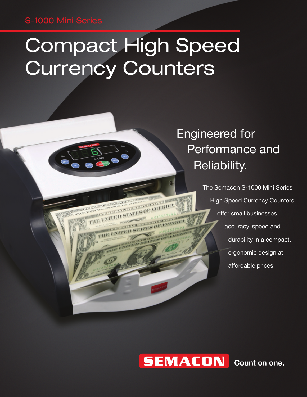### S-1000 Mini Series

# Compact High Speed Currency Counters

FRAME INTERIOR STATES OF MIERIC THE UNITED STATES OF AN

### Engineered for Performance and Reliability.

The Semacon S-1000 Mini Series High Speed Currency Counters offer small businesses accuracy, speed and durability in a compact, ergonomic design at affordable prices.